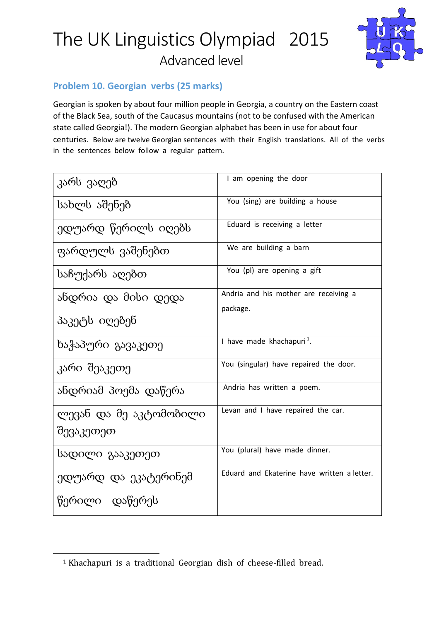

### Problem 10. Georgian verbs (25 marks)

Georgian is spoken by about four million people in Georgia, a country on the Eastern coast of the Black Sea, south of the Caucasus mountains (not to be confused with the American state called Georgia!). The modern Georgian alphabet has been in use for about four centuries. Below are twelve Georgian sentences with their English translations. All of the verbs in the sentences below follow a regular pattern.

| კარს ვაღებ                          | I am opening the door                             |
|-------------------------------------|---------------------------------------------------|
| სახლს აშენებ                        | You (sing) are building a house                   |
| ედუარდ წერილს იღებს                 | Eduard is receiving a letter                      |
| ფარდულს ვაშენებთ                    | We are building a barn                            |
| საჩუქარს აღებთ                      | You (pl) are opening a gift                       |
| ანდრია და მისი დედა                 | Andria and his mother are receiving a<br>package. |
| პაკეტს იღებენ                       |                                                   |
| ხაჭაპური გავაკეთე                   | I have made khachapuri <sup>1</sup> .             |
| კარი შეაკეთე                        | You (singular) have repaired the door.            |
| ანდრიამ პოემა დაწერა                | Andria has written a poem.                        |
| ლევან და მე აკტომობილი<br>შევაკეთეთ | Levan and I have repaired the car.                |
| სადილი გააკეთეთ                     | You (plural) have made dinner.                    |
| ედუარდ და ეკატერინემ                | Eduard and Ekaterine have written a letter.       |
| წერილი დაწერეს                      |                                                   |

 $\overline{a}$ 

<sup>&</sup>lt;sup>1</sup> Khachapuri is a traditional Georgian dish of cheese-filled bread.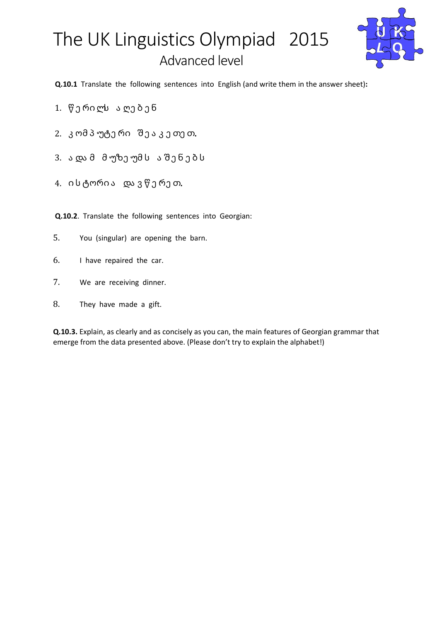

Q.10.1 Translate the following sentences into English (and write them in the answer sheet):

- 1. წ ე რი ლს ა ღე ბ ე ნ
- 2. კ ომ პ უტე რი შ ე ა კ ე თე თ.
- 3. ა და მ მუზეუმს ა შენებს
- $4.$ ის ტორია და ვწერეთ.

Q.10.2. Translate the following sentences into Georgian:

- 5. You (singular) are opening the barn.
- 6. I have repaired the car.
- 7. We are receiving dinner.
- 8. They have made a gift.

Q.10.3. Explain, as clearly and as concisely as you can, the main features of Georgian grammar that emerge from the data presented above. (Please don't try to explain the alphabet!)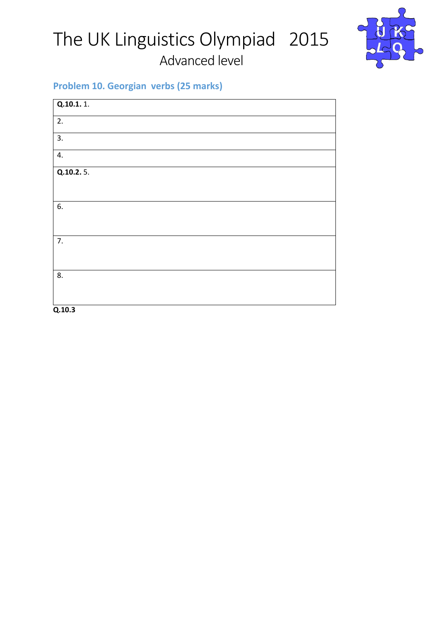

### Problem 10. Georgian verbs (25 marks)

| Q.10.1.1.        |  |  |
|------------------|--|--|
| 2.               |  |  |
| 3.               |  |  |
| 4.               |  |  |
| Q.10.2.5.        |  |  |
|                  |  |  |
| 6.               |  |  |
|                  |  |  |
| $\overline{7}$ . |  |  |
|                  |  |  |
| 8.               |  |  |
|                  |  |  |
| Q.10.3           |  |  |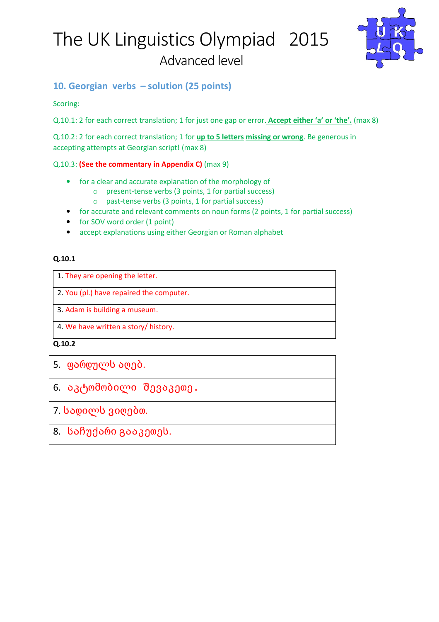

### 10. Georgian verbs – solution (25 points)

Scoring:

Q.10.1: 2 for each correct translation; 1 for just one gap or error. Accept either 'a' or 'the'. (max 8)

Q.10.2: 2 for each correct translation; 1 for up to 5 letters missing or wrong. Be generous in accepting attempts at Georgian script! (max 8)

### Q.10.3: (See the commentary in Appendix C) (max 9)

- for a clear and accurate explanation of the morphology of
	- o present-tense verbs (3 points, 1 for partial success)
	- o past-tense verbs (3 points, 1 for partial success)
- for accurate and relevant comments on noun forms (2 points, 1 for partial success)
- for SOV word order (1 point)
- accept explanations using either Georgian or Roman alphabet

### Q.10.1

1. They are opening the letter.

2. You (pl.) have repaired the computer.

3. Adam is building a museum.

4. We have written a story/ history.

Q.10.2

6. აკტომობილი შევაკეთე.

7. სადილს ვიღებთ.

8. საჩუქარი გააკეთეს.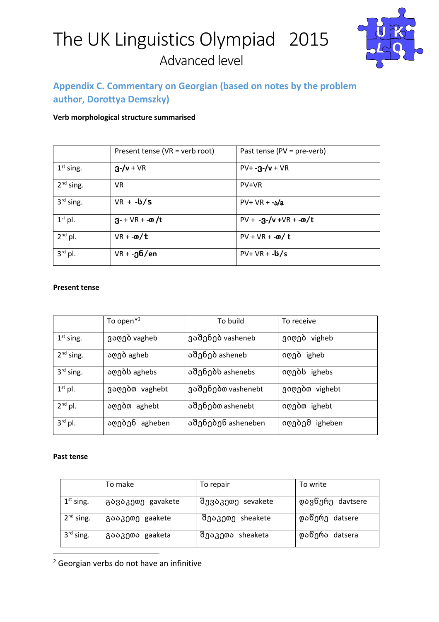

### Appendix C. Commentary on Georgian (based on notes by the problem author, Dorottya Demszky)

#### Verb morphological structure summarised

|              | Present tense (VR = verb root) | Past tense (PV = pre-verb)         |
|--------------|--------------------------------|------------------------------------|
| $1st$ sing.  | $3 - / v + VR$                 | $PV + -3 - /v + VR$                |
| $2nd$ sing.  | <b>VR</b>                      | PV+VR                              |
| $3rd$ sing.  | $VR + -b/S$                    | $PV + VR + -S/a$                   |
| $1st$ pl.    | $3 - + \sqrt{R} + -\omega/t$   | $PV + -3-y + \sqrt{R} + -\omega/t$ |
| $2^{nd}$ pl. | $VR + -m/t$                    | $PV + VR + -m/t$                   |
| $3rd$ pl.    | $VR + -06/en$                  | $PV + VR + -b/s$                   |

#### Present tense

|             | To open $*^2$  | To build           | To receive     |
|-------------|----------------|--------------------|----------------|
| $1st$ sing. | ვაღებ vagheb   | ვაშენებ vasheneb   | ვიღებ vigheb   |
| $2nd$ sing. | აღებ agheb     | აშენებ asheneb     | იღებ igheb     |
| $3rd$ sing. | აღებს aghebs   | აშენებს ashenebs   | იღებს ighebs   |
| $1st$ pl.   | ვაღებთ vaghebt | ვაშენებთ vashenebt | ვიღებთ vighebt |
| $2nd$ pl.   | აღებთ aghebt   | აშენებთ ashenebt   | იღებთ ighebt   |
| $3rd$ pl.   | აღებენ agheben | აშენებენ asheneben | იღებემ igheben |

#### Past tense

l

|             | To make           | To repair         | To write         |
|-------------|-------------------|-------------------|------------------|
| $1st$ sing. | გავაკეთე gavakete | შევაკეთე sevakete | დავწერე davtsere |
| $2nd$ sing. | გააკეთე gaakete   | შეაკეთე sheakete  | დაწერე datsere   |
| $3rd$ sing. | გააკეთა gaaketa   | შეაკეთა sheaketa  | დაწერა datsera   |

<sup>2</sup> Georgian verbs do not have an infinitive